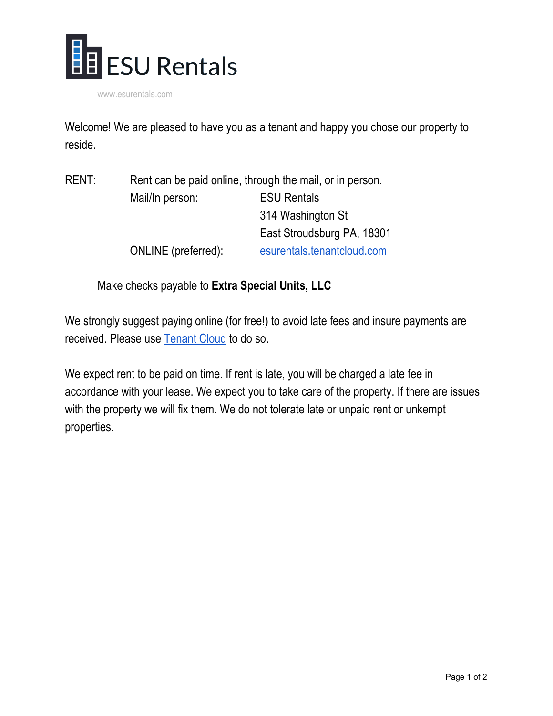

www.esurentals.com

Welcome! We are pleased to have you as a tenant and happy you chose our property to reside.

| <b>RENT:</b> | Rent can be paid online, through the mail, or in person. |                            |  |
|--------------|----------------------------------------------------------|----------------------------|--|
|              | Mail/In person:                                          | <b>ESU Rentals</b>         |  |
|              |                                                          | 314 Washington St          |  |
|              |                                                          | East Stroudsburg PA, 18301 |  |
|              | ONLINE (preferred):                                      | esurentals.tenantcloud.com |  |

Make checks payable to **Extra Special Units, LLC**

We strongly suggest paying online (for free!) to avoid late fees and insure payments are received. Please use [Tenant](http://esurentals.tenantcloud.com/) Cloud to do so.

We expect rent to be paid on time. If rent is late, you will be charged a late fee in accordance with your lease. We expect you to take care of the property. If there are issues with the property we will fix them. We do not tolerate late or unpaid rent or unkempt properties.